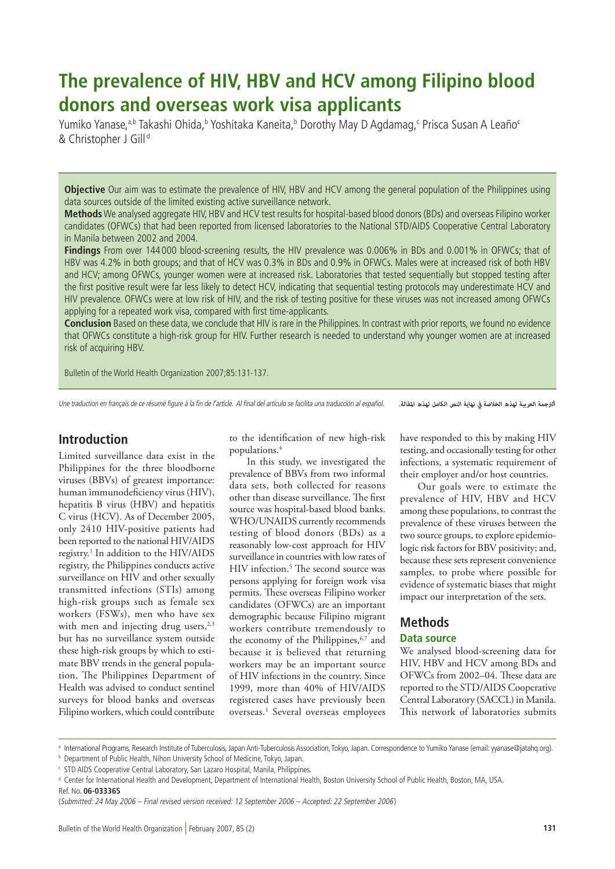# **The prevalence of HIV, HBV and HCV among Filipino blood donors and overseas work visa applicants**

Yumiko Yanase,<sup>a,b</sup> Takashi Ohida,<sup>b</sup> Yoshitaka Kaneita,<sup>b</sup> Dorothy May D Agdamag,<sup>c</sup> Prisca Susan A Leaño<sup>c</sup> & Christopher J Gill<sup>d</sup>

**Objective** Our aim was to estimate the prevalence of HIV, HBV and HCV among the general population of the Philippines using data sources outside of the limited existing active surveillance network.

**Methods** We analysed aggregate HIV, HBV and HCV test results for hospital-based blood donors (BDs) and overseas Filipino worker candidates (OFWCs) that had been reported from licensed laboratories to the National STD/AIDS Cooperative Central Laboratory in Manila between 2002 and 2004.

**Findings** From over 144 000 blood-screening results, the HIV prevalence was 0.006% in BDs and 0.001% in OFWCs; that of HBV was 4.2% in both groups; and that of HCV was 0.3% in BDs and 0.9% in OFWCs. Males were at increased risk of both HBV and HCV; among OFWCs, younger women were at increased risk. Laboratories that tested sequentially but stopped testing after the first positive result were far less likely to detect HCV, indicating that sequential testing protocols may underestimate HCV and HIV prevalence. OFWCs were at low risk of HIV, and the risk of testing positive for these viruses was not increased among OFWCs applying for a repeated work visa, compared with first time-applicants.

**Conclusion** Based on these data, we conclude that HIV is rare in the Philippines. In contrast with prior reports, we found no evidence that OFWCs constitute a high-risk group for HIV. Further research is needed to understand why younger women are at increased risk of acquiring HBV.

Bulletin of the World Health Organization 2007;85:131-137.

Une traduction en français de ce résumé figure à la fin de l'article. Al final del artículo se facilita una traducción al español. *.املقالة لهذه الكامل النص نهاية يف الخالصة لهذه العربية الرتجمة*

# **Introduction**

Limited surveillance data exist in the Philippines for the three bloodborne viruses (BBVs) of greatest importance: human immunodeficiency virus (HIV), hepatitis B virus (HBV) and hepatitis C virus (HCV). As of December 2005, only 2410 HIV-positive patients had been reported to the national HIV/AIDS registry.1 In addition to the HIV/AIDS registry, the Philippines conducts active surveillance on HIV and other sexually transmitted infections (STIs) among high-risk groups such as female sex workers (FSWs), men who have sex with men and injecting drug users, $2,3$ but has no surveillance system outside these high-risk groups by which to estimate BBV trends in the general population. The Philippines Department of Health was advised to conduct sentinel surveys for blood banks and overseas Filipino workers, which could contribute

to the identification of new high-risk populations.4

In this study, we investigated the prevalence of BBVs from two informal data sets, both collected for reasons other than disease surveillance. The first source was hospital-based blood banks. WHO/UNAIDS currently recommends testing of blood donors (BDs) as a reasonably low-cost approach for HIV surveillance in countries with low rates of HIV infection.5 The second source was persons applying for foreign work visa permits. These overseas Filipino worker candidates (OFWCs) are an important demographic because Filipino migrant workers contribute tremendously to the economy of the Philippines, <sup>6,7</sup> and because it is believed that returning workers may be an important source of HIV infections in the country. Since 1999, more than 40% of HIV/AIDS registered cases have previously been overseas.1 Several overseas employees have responded to this by making HIV testing, and occasionally testing for other infections, a systematic requirement of their employer and/or host countries.

Our goals were to estimate the prevalence of HIV, HBV and HCV among these populations, to contrast the prevalence of these viruses between the two source groups, to explore epidemiologic risk factors for BBV positivity; and, because these sets represent convenience samples, to probe where possible for evidence of systematic biases that might impact our interpretation of the sets.

# **Methods**

#### **Data source**

We analysed blood-screening data for HIV, HBV and HCV among BDs and OFWCs from 2002–04. These data are reported to the STD/AIDS Cooperative Central Laboratory (SACCL) in Manila. This network of laboratories submits

a International Programs, Research Institute of Tuberculosis, Japan Anti-Tuberculosis Association, Tokyo, Japan. Correspondence to Yumiko Yanase (email: yyanase@jatahq.org).

**b** Department of Public Health, Nihon University School of Medicine, Tokyo, Japan.

<sup>c</sup> STD AIDS Cooperative Central Laboratory, San Lazaro Hospital, Manila, Philippines.

<sup>d</sup> Center for International Health and Development, Department of International Health, Boston University School of Public Health, Boston, MA, USA. Ref. No. **06-033365**

<sup>(</sup>Submitted: 24 May 2006 – Final revised version received: 12 September 2006 – Accepted: 22 September 2006)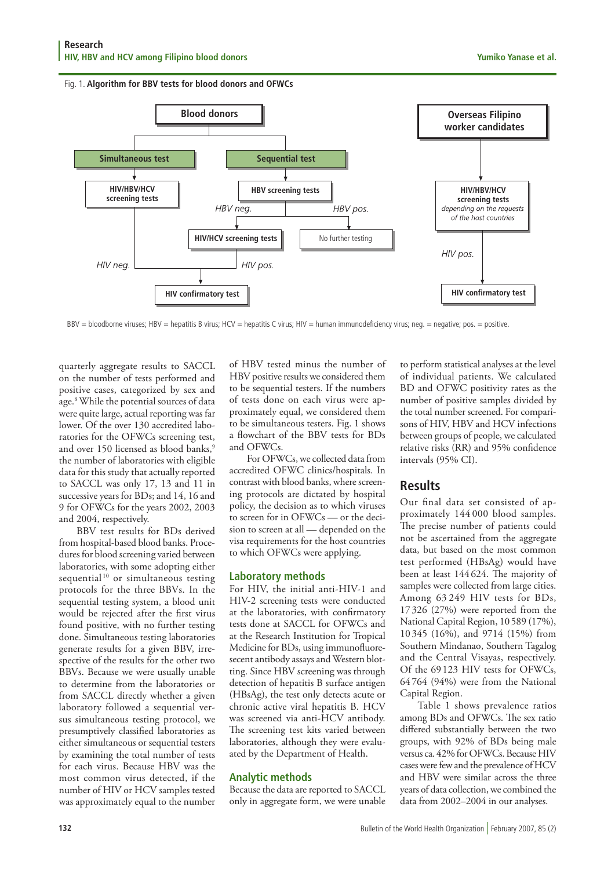



BBV = bloodborne viruses; HBV = hepatitis B virus; HCV = hepatitis C virus; HIV = human immunodeficiency virus; neg. = negative; pos. = positive.

quarterly aggregate results to SACCL on the number of tests performed and positive cases, categorized by sex and age.8 While the potential sources of data were quite large, actual reporting was far lower. Of the over 130 accredited laboratories for the OFWCs screening test, and over 150 licensed as blood banks,<sup>9</sup> the number of laboratories with eligible data for this study that actually reported to SACCL was only 17, 13 and 11 in successive years for BDs; and 14, 16 and 9 for OFWCs for the years 2002, 2003 and 2004, respectively.

BBV test results for BDs derived from hospital-based blood banks. Procedures for blood screening varied between laboratories, with some adopting either sequential<sup>10</sup> or simultaneous testing protocols for the three BBVs. In the sequential testing system, a blood unit would be rejected after the first virus found positive, with no further testing done. Simultaneous testing laboratories generate results for a given BBV, irrespective of the results for the other two BBVs. Because we were usually unable to determine from the laboratories or from SACCL directly whether a given laboratory followed a sequential versus simultaneous testing protocol, we presumptively classified laboratories as either simultaneous or sequential testers by examining the total number of tests for each virus. Because HBV was the most common virus detected, if the number of HIV or HCV samples tested was approximately equal to the number

of HBV tested minus the number of HBV positive results we considered them to be sequential testers. If the numbers of tests done on each virus were approximately equal, we considered them to be simultaneous testers. Fig. 1 shows a flowchart of the BBV tests for BDs and OFWCs.

For OFWCs, we collected data from accredited OFWC clinics/hospitals. In contrast with blood banks, where screening protocols are dictated by hospital policy, the decision as to which viruses to screen for in OFWCs — or the decision to screen at all — depended on the visa requirements for the host countries to which OFWCs were applying.

#### **Laboratory methods**

For HIV, the initial anti-HIV-1 and HIV-2 screening tests were conducted at the laboratories, with confirmatory tests done at SACCL for OFWCs and at the Research Institution for Tropical Medicine for BDs, using immunofluoresecent antibody assays and Western blotting. Since HBV screening was through detection of hepatitis B surface antigen (HBsAg), the test only detects acute or chronic active viral hepatitis B. HCV was screened via anti-HCV antibody. The screening test kits varied between laboratories, although they were evaluated by the Department of Health.

# **Analytic methods**

Because the data are reported to SACCL only in aggregate form, we were unable

to perform statistical analyses at the level of individual patients. We calculated BD and OFWC positivity rates as the number of positive samples divided by the total number screened. For comparisons of HIV, HBV and HCV infections between groups of people, we calculated relative risks (RR) and 95% confidence intervals (95% CI).

# **Results**

Our final data set consisted of approximately 144 000 blood samples. The precise number of patients could not be ascertained from the aggregate data, but based on the most common test performed (HBsAg) would have been at least 144 624. The majority of samples were collected from large cities. Among 63 249 HIV tests for BDs, 17 326 (27%) were reported from the National Capital Region, 10589 (17%), 10 345 (16%), and 9714 (15%) from Southern Mindanao, Southern Tagalog and the Central Visayas, respectively. Of the 69123 HIV tests for OFWCs, 64764 (94%) were from the National Capital Region.

Table 1 shows prevalence ratios among BDs and OFWCs. The sex ratio differed substantially between the two groups, with 92% of BDs being male versus ca. 42% for OFWCs. Because HIV cases were few and the prevalence of HCV and HBV were similar across the three years of data collection, we combined the data from 2002–2004 in our analyses.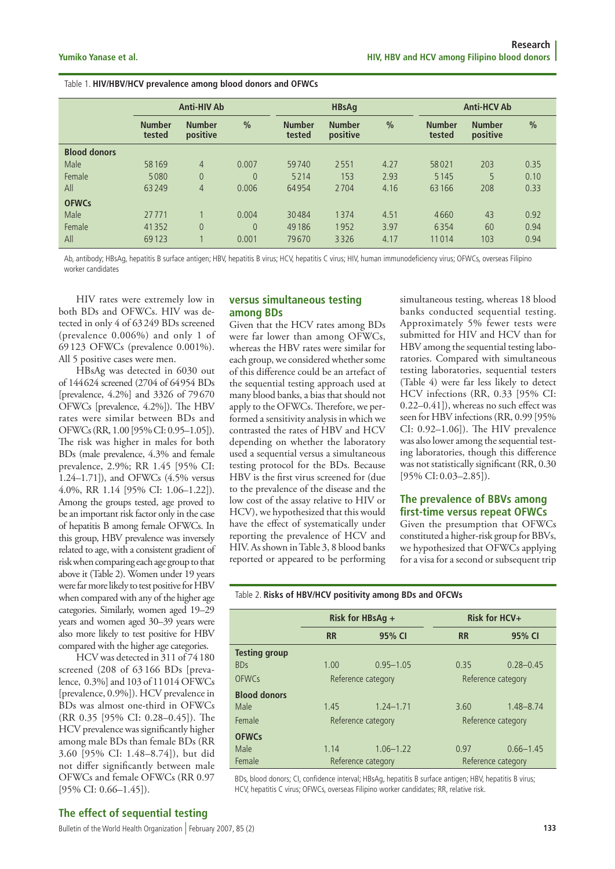#### Table 1. **HIV/HBV/HCV prevalence among blood donors and OFWCs**

|                     | <b>Anti-HIV Ab</b>      |                           |               | <b>HBsAg</b>            |                           |               | <b>Anti-HCV Ab</b>      |                           |               |
|---------------------|-------------------------|---------------------------|---------------|-------------------------|---------------------------|---------------|-------------------------|---------------------------|---------------|
|                     | <b>Number</b><br>tested | <b>Number</b><br>positive | $\frac{0}{0}$ | <b>Number</b><br>tested | <b>Number</b><br>positive | $\frac{0}{0}$ | <b>Number</b><br>tested | <b>Number</b><br>positive | $\frac{0}{0}$ |
| <b>Blood donors</b> |                         |                           |               |                         |                           |               |                         |                           |               |
| Male                | 58 169                  | $\overline{4}$            | 0.007         | 59740                   | 2551                      | 4.27          | 58021                   | 203                       | 0.35          |
| Female              | 5080                    | $\overline{0}$            | $\theta$      | 5214                    | 153                       | 2.93          | 5145                    | 5                         | 0.10          |
| All                 | 63249                   | $\overline{4}$            | 0.006         | 64954                   | 2704                      | 4.16          | 63166                   | 208                       | 0.33          |
| <b>OFWCs</b>        |                         |                           |               |                         |                           |               |                         |                           |               |
| Male                | 27771                   |                           | 0.004         | 30484                   | 1374                      | 4.51          | 4660                    | 43                        | 0.92          |
| Female              | 41352                   | $\overline{0}$            | $\theta$      | 49 18 6                 | 1952                      | 3.97          | 6354                    | 60                        | 0.94          |
| All                 | 69123                   |                           | 0.001         | 79670                   | 3326                      | 4.17          | 11014                   | 103                       | 0.94          |

Ab, antibody; HBsAg, hepatitis B surface antigen; HBV, hepatitis B virus; HCV, hepatitis C virus; HIV, human immunodeficiency virus; OFWCs, overseas Filipino worker candidates

HIV rates were extremely low in both BDs and OFWCs. HIV was detected in only 4 of 63249 BDs screened (prevalence 0.006%) and only 1 of 69 123 OFWCs (prevalence 0.001%). All 5 positive cases were men.

HBsAg was detected in 6030 out of 144624 screened (2704 of 64954 BDs [prevalence, 4.2%] and 3326 of 79670 OFWCs [prevalence, 4.2%]). The HBV rates were similar between BDs and OFWCs (RR, 1.00 [95% CI: 0.95–1.05]). The risk was higher in males for both BDs (male prevalence, 4.3% and female prevalence, 2.9%; RR 1.45 [95% CI: 1.24–1.71]), and OFWCs (4.5% versus 4.0%, RR 1.14 [95% CI: 1.06–1.22]). Among the groups tested, age proved to be an important risk factor only in the case of hepatitis B among female OFWCs. In this group, HBV prevalence was inversely related to age, with a consistent gradient of risk when comparing each age group to that above it (Table 2). Women under 19 years were far more likely to test positive for HBV when compared with any of the higher age categories. Similarly, women aged 19–29 years and women aged 30–39 years were also more likely to test positive for HBV compared with the higher age categories.

HCV was detected in 311 of 74180 screened (208 of 63 166 BDs [prevalence, 0.3%] and 103 of 11014 OFWCs [prevalence, 0.9%]). HCV prevalence in BDs was almost one-third in OFWCs (RR 0.35 [95% CI: 0.28–0.45]). The HCV prevalence was significantly higher among male BDs than female BDs (RR 3.60 [95% CI: 1.48–8.74]), but did not differ significantly between male OFWCs and female OFWCs (RR 0.97 [95% CI: 0.66–1.45]).

#### **versus simultaneous testing among BDs**

Given that the HCV rates among BDs were far lower than among OFWCs, whereas the HBV rates were similar for each group, we considered whether some of this difference could be an artefact of the sequential testing approach used at many blood banks, a bias that should not apply to the OFWCs. Therefore, we performed a sensitivity analysis in which we contrasted the rates of HBV and HCV depending on whether the laboratory used a sequential versus a simultaneous testing protocol for the BDs. Because HBV is the first virus screened for (due to the prevalence of the disease and the low cost of the assay relative to HIV or HCV), we hypothesized that this would have the effect of systematically under reporting the prevalence of HCV and HIV. As shown in Table 3, 8 blood banks reported or appeared to be performing simultaneous testing, whereas 18 blood banks conducted sequential testing. Approximately 5% fewer tests were submitted for HIV and HCV than for HBV among the sequential testing laboratories. Compared with simultaneous testing laboratories, sequential testers (Table 4) were far less likely to detect HCV infections (RR, 0.33 [95% CI: 0.22–0.41]), whereas no such effect was seen for HBV infections (RR, 0.99 [95% CI: 0.92–1.06]). The HIV prevalence was also lower among the sequential testing laboratories, though this difference was not statistically significant (RR, 0.30 [95% CI: 0.03–2.85]).

#### **The prevalence of BBVs among first-time versus repeat OFWCs**

Given the presumption that OFWCs constituted a higher-risk group for BBVs, we hypothesized that OFWCs applying for a visa for a second or subsequent trip

#### Table 2. **Risks of HBV/HCV positivity among BDs and OFCWs**

|                      |                     | Risk for HBsAg +   |                    | Risk for HCV+      |  |  |
|----------------------|---------------------|--------------------|--------------------|--------------------|--|--|
|                      | 95% CI<br><b>RR</b> |                    | <b>RR</b>          | 95% CI             |  |  |
| <b>Testing group</b> |                     |                    |                    |                    |  |  |
| <b>BDs</b>           | 1.00                | $0.95 - 1.05$      | 0.35               | $0.28 - 0.45$      |  |  |
| <b>OFWCs</b>         |                     | Reference category | Reference category |                    |  |  |
| <b>Blood donors</b>  |                     |                    |                    |                    |  |  |
| Male                 | 1.45                | $1.24 - 1.71$      | 3.60               | $1.48 - 8.74$      |  |  |
| Female               |                     | Reference category | Reference category |                    |  |  |
| <b>OFWCs</b>         |                     |                    |                    |                    |  |  |
| Male                 | 1.14                | $1.06 - 1.22$      | 0.97               | $0.66 - 1.45$      |  |  |
| Female               |                     | Reference category |                    | Reference category |  |  |

BDs, blood donors; CI, confidence interval; HBsAg, hepatitis B surface antigen; HBV, hepatitis B virus; HCV, hepatitis C virus; OFWCs, overseas Filipino worker candidates; RR, relative risk.

#### **The effect of sequential testing**

Bulletin of the World Health Organization | February 2007, 85 (2) **<sup>133</sup>**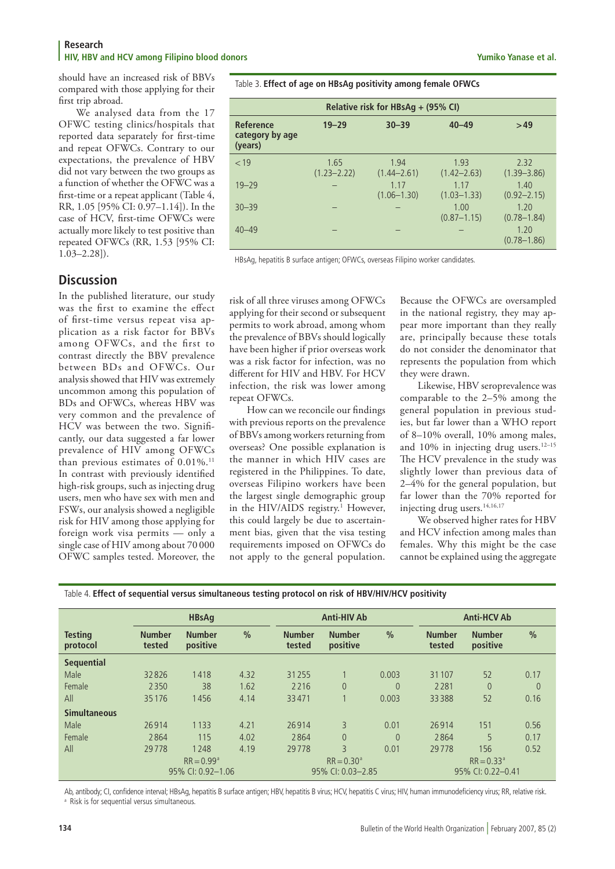#### **Research HIV, HBV and HCV among Filipino blood donors Yumiko Yanase et al.**

should have an increased risk of BBVs compared with those applying for their first trip abroad.

We analysed data from the 17 OFWC testing clinics/hospitals that reported data separately for first-time and repeat OFWCs. Contrary to our expectations, the prevalence of HBV did not vary between the two groups as a function of whether the OFWC was a first-time or a repeat applicant (Table 4, RR, 1.05 [95% CI: 0.97–1.14]). In the case of HCV, first-time OFWCs were actually more likely to test positive than repeated OFWCs (RR, 1.53 [95% CI: 1.03–2.28]).

# **Discussion**

In the published literature, our study was the first to examine the effect of first-time versus repeat visa application as a risk factor for BBVs among OFWCs, and the first to contrast directly the BBV prevalence between BDs and OFWCs. Our analysis showed that HIV was extremely uncommon among this population of BDs and OFWCs, whereas HBV was very common and the prevalence of HCV was between the two. Significantly, our data suggested a far lower prevalence of HIV among OFWCs than previous estimates of 0.01%.<sup>11</sup> In contrast with previously identified high-risk groups, such as injecting drug users, men who have sex with men and FSWs, our analysis showed a negligible risk for HIV among those applying for foreign work visa permits — only a single case of HIV among about 70 000 OFWC samples tested. Moreover, the

Table 3. **Effect of age on HBsAg positivity among female OFWCs**

| Relative risk for HBsAg + (95% CI)             |                         |                         |                         |                         |  |  |  |  |
|------------------------------------------------|-------------------------|-------------------------|-------------------------|-------------------------|--|--|--|--|
| <b>Reference</b><br>category by age<br>(years) | $19 - 29$               | $30 - 39$               | $40 - 49$               | >49                     |  |  |  |  |
| < 19                                           | 1.65<br>$(1.23 - 2.22)$ | 1.94<br>$(1.44 - 2.61)$ | 1.93<br>$(1.42 - 2.63)$ | 2.32<br>$(1.39 - 3.86)$ |  |  |  |  |
| $19 - 29$                                      |                         | 1.17<br>$(1.06 - 1.30)$ | 1.17<br>$(1.03 - 1.33)$ | 1.40<br>$(0.92 - 2.15)$ |  |  |  |  |
| $30 - 39$                                      |                         |                         | 1.00<br>$(0.87 - 1.15)$ | 1.20<br>$(0.78 - 1.84)$ |  |  |  |  |
| $40 - 49$                                      |                         |                         |                         | 1.20<br>$(0.78 - 1.86)$ |  |  |  |  |

HBsAg, hepatitis B surface antigen; OFWCs, overseas Filipino worker candidates.

risk of all three viruses among OFWCs applying for their second or subsequent permits to work abroad, among whom the prevalence of BBVs should logically have been higher if prior overseas work was a risk factor for infection, was no different for HIV and HBV. For HCV infection, the risk was lower among repeat OFWCs.

How can we reconcile our findings with previous reports on the prevalence of BBVs among workers returning from overseas? One possible explanation is the manner in which HIV cases are registered in the Philippines. To date, overseas Filipino workers have been the largest single demographic group in the HIV/AIDS registry.<sup>1</sup> However, this could largely be due to ascertainment bias, given that the visa testing requirements imposed on OFWCs do not apply to the general population.

Because the OFWCs are oversampled in the national registry, they may appear more important than they really are, principally because these totals do not consider the denominator that represents the population from which they were drawn.

Likewise, HBV seroprevalence was comparable to the 2–5% among the general population in previous studies, but far lower than a WHO report of 8–10% overall, 10% among males, and 10% in injecting drug users.<sup>12-15</sup> The HCV prevalence in the study was slightly lower than previous data of 2–4% for the general population, but far lower than the 70% reported for injecting drug users.<sup>14,16,17</sup>

We observed higher rates for HBV and HCV infection among males than females. Why this might be the case cannot be explained using the aggregate

|                            | <b>HBsAg</b>            |                           |               | <b>Anti-HIV Ab</b>      |                           |               | <b>Anti-HCV Ab</b>      |                           |                |  |
|----------------------------|-------------------------|---------------------------|---------------|-------------------------|---------------------------|---------------|-------------------------|---------------------------|----------------|--|
| <b>Testing</b><br>protocol | <b>Number</b><br>tested | <b>Number</b><br>positive | $\frac{0}{0}$ | <b>Number</b><br>tested | <b>Number</b><br>positive | $\frac{0}{0}$ | <b>Number</b><br>tested | <b>Number</b><br>positive | $\frac{0}{0}$  |  |
| <b>Sequential</b>          |                         |                           |               |                         |                           |               |                         |                           |                |  |
| Male                       | 32826                   | 1418                      | 4.32          | 31255                   |                           | 0.003         | 31107                   | 52                        | 0.17           |  |
| Female                     | 2350                    | 38                        | 1.62          | 2216                    | $\theta$                  | $\Omega$      | 2281                    | $\Omega$                  | $\overline{0}$ |  |
| All                        | 35176                   | 1456                      | 4.14          | 33471                   |                           | 0.003         | 33388                   | 52                        | 0.16           |  |
| <b>Simultaneous</b>        |                         |                           |               |                         |                           |               |                         |                           |                |  |
| Male                       | 26914                   | 1 1 3 3                   | 4.21          | 26914                   | 3                         | 0.01          | 26914                   | 151                       | 0.56           |  |
| Female                     | 2864                    | 115                       | 4.02          | 2864                    | $\Omega$                  | $\theta$      | 2864                    | 5                         | 0.17           |  |
| All                        | 29778                   | 1248                      | 4.19          | 29778                   | $\overline{3}$            | 0.01          | 29778                   | 156                       | 0.52           |  |
|                            | $RR = 0.99^{\circ}$     |                           |               |                         | $RR = 0.30^{\circ}$       |               |                         | $RR = 0.33a$              |                |  |
|                            | 95% CI: 0.92-1.06       |                           |               | 95% CI: 0.03-2.85       |                           |               | 95% CI: 0.22-0.41       |                           |                |  |

| Table 4. Effect of sequential versus simultaneous testing protocol on risk of HBV/HIV/HCV positivity |  |  |
|------------------------------------------------------------------------------------------------------|--|--|
|                                                                                                      |  |  |

Ab, antibody; CI, confidence interval; HBsAg, hepatitis B surface antigen; HBV, hepatitis B virus; HCV, hepatitis C virus; HIV, human immunodeficiency virus; RR, relative risk.

<sup>a</sup> Risk is for sequential versus simultaneous.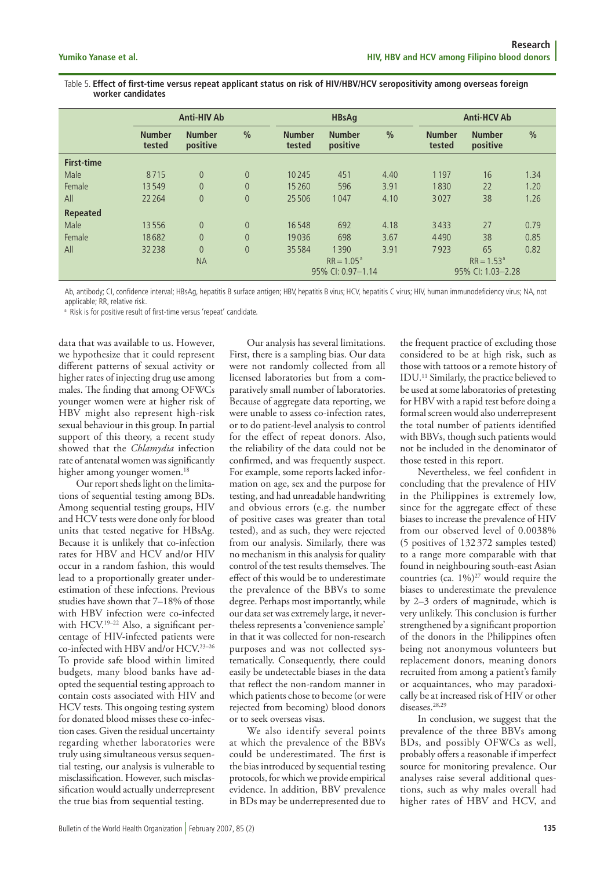Table 5. **Effect of first-time versus repeat applicant status on risk of HIV/HBV/HCV seropositivity among overseas foreign worker candidates**

|                   | <b>Anti-HIV Ab</b>      |                           |                | <b>HBsAq</b>                      |                           |               |                                   | <b>Anti-HCV Ab</b>        |               |  |
|-------------------|-------------------------|---------------------------|----------------|-----------------------------------|---------------------------|---------------|-----------------------------------|---------------------------|---------------|--|
|                   | <b>Number</b><br>tested | <b>Number</b><br>positive | $\frac{0}{0}$  | <b>Number</b><br>tested           | <b>Number</b><br>positive | $\frac{0}{0}$ | <b>Number</b><br>tested           | <b>Number</b><br>positive | $\frac{0}{0}$ |  |
| <b>First-time</b> |                         |                           |                |                                   |                           |               |                                   |                           |               |  |
| Male              | 8715                    | $\overline{0}$            | $\overline{0}$ | 10245                             | 451                       | 4.40          | 1197                              | 16                        | 1.34          |  |
| Female            | 13549                   | $\overline{0}$            | $\overline{0}$ | 15260                             | 596                       | 3.91          | 1830                              | 22                        | 1.20          |  |
| All               | 22 2 64                 | $\overline{0}$            | $\overline{0}$ | 25506                             | 1047                      | 4.10          | 3027                              | 38                        | 1.26          |  |
| <b>Repeated</b>   |                         |                           |                |                                   |                           |               |                                   |                           |               |  |
| Male              | 13556                   | $\overline{0}$            | $\overline{0}$ | 16548                             | 692                       | 4.18          | 3433                              | 27                        | 0.79          |  |
| Female            | 18682                   | $\overline{0}$            | $\overline{0}$ | 19036                             | 698                       | 3.67          | 4490                              | 38                        | 0.85          |  |
| All               | 32238                   | $\overline{0}$            | $\overline{0}$ | 35584                             | 1390                      | 3.91          | 7923                              | 65                        | 0.82          |  |
|                   |                         | <b>NA</b>                 |                | $RR = 1.05a$<br>95% CI: 0.97-1.14 |                           |               | $RR = 1.53a$<br>95% CI: 1.03-2.28 |                           |               |  |

Ab, antibody; CI, confidence interval; HBsAg, hepatitis B surface antigen; HBV, hepatitis B virus; HCV, hepatitis C virus; HIV, human immunodeficiency virus; NA, not applicable; RR, relative risk.

<sup>a</sup> Risk is for positive result of first-time versus 'repeat' candidate.

data that was available to us. However, we hypothesize that it could represent different patterns of sexual activity or higher rates of injecting drug use among males. The finding that among OFWCs younger women were at higher risk of HBV might also represent high-risk sexual behaviour in this group. In partial support of this theory, a recent study showed that the *Chlamydia* infection rate of antenatal women was significantly higher among younger women.<sup>18</sup>

Our report sheds light on the limitations of sequential testing among BDs. Among sequential testing groups, HIV and HCV tests were done only for blood units that tested negative for HBsAg. Because it is unlikely that co-infection rates for HBV and HCV and/or HIV occur in a random fashion, this would lead to a proportionally greater underestimation of these infections. Previous studies have shown that 7–18% of those with HBV infection were co-infected with HCV.19–22 Also, a significant percentage of HIV-infected patients were co-infected with HBV and/or HCV.23–26 To provide safe blood within limited budgets, many blood banks have adopted the sequential testing approach to contain costs associated with HIV and HCV tests. This ongoing testing system for donated blood misses these co-infection cases. Given the residual uncertainty regarding whether laboratories were truly using simultaneous versus sequential testing, our analysis is vulnerable to misclassification. However, such misclassification would actually underrepresent the true bias from sequential testing.

Our analysis has several limitations. First, there is a sampling bias. Our data were not randomly collected from all licensed laboratories but from a comparatively small number of laboratories. Because of aggregate data reporting, we were unable to assess co-infection rates, or to do patient-level analysis to control for the effect of repeat donors. Also, the reliability of the data could not be confirmed, and was frequently suspect. For example, some reports lacked information on age, sex and the purpose for testing, and had unreadable handwriting and obvious errors (e.g. the number of positive cases was greater than total tested), and as such, they were rejected from our analysis. Similarly, there was no mechanism in this analysis for quality control of the test results themselves. The effect of this would be to underestimate the prevalence of the BBVs to some degree. Perhaps most importantly, while our data set was extremely large, it nevertheless represents a 'convenience sample' in that it was collected for non-research purposes and was not collected systematically. Consequently, there could easily be undetectable biases in the data that reflect the non-random manner in which patients chose to become (or were rejected from becoming) blood donors or to seek overseas visas.

We also identify several points at which the prevalence of the BBVs could be underestimated. The first is the bias introduced by sequential testing protocols, for which we provide empirical evidence. In addition, BBV prevalence in BDs may be underrepresented due to

the frequent practice of excluding those considered to be at high risk, such as those with tattoos or a remote history of IDU.11 Similarly, the practice believed to be used at some laboratories of pretesting for HBV with a rapid test before doing a formal screen would also underrepresent the total number of patients identified with BBVs, though such patients would not be included in the denominator of those tested in this report.

Nevertheless, we feel confident in concluding that the prevalence of HIV in the Philippines is extremely low, since for the aggregate effect of these biases to increase the prevalence of HIV from our observed level of 0.0038% (5 positives of 132372 samples tested) to a range more comparable with that found in neighbouring south-east Asian countries (ca.  $1\%$ )<sup>27</sup> would require the biases to underestimate the prevalence by 2–3 orders of magnitude, which is very unlikely. This conclusion is further strengthened by a significant proportion of the donors in the Philippines often being not anonymous volunteers but replacement donors, meaning donors recruited from among a patient's family or acquaintances, who may paradoxically be at increased risk of HIV or other diseases.<sup>28,29</sup>

In conclusion, we suggest that the prevalence of the three BBVs among BDs, and possibly OFWCs as well, probably offers a reasonable if imperfect source for monitoring prevalence. Our analyses raise several additional questions, such as why males overall had higher rates of HBV and HCV, and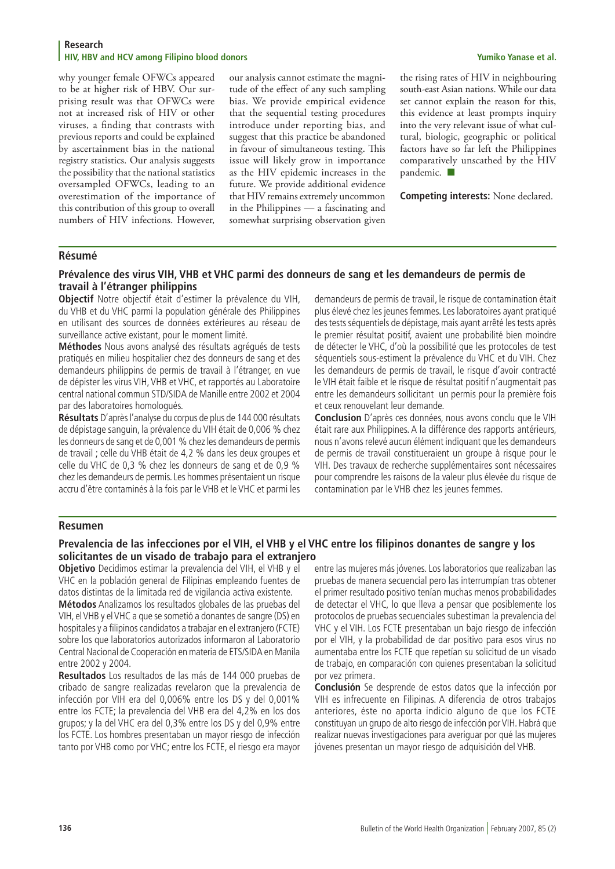#### **Research HIV, HBV and HCV among Filipino blood donors Yumiko Yanase et al.**

why younger female OFWCs appeared to be at higher risk of HBV. Our surprising result was that OFWCs were not at increased risk of HIV or other viruses, a finding that contrasts with previous reports and could be explained by ascertainment bias in the national registry statistics. Our analysis suggests the possibility that the national statistics oversampled OFWCs, leading to an overestimation of the importance of this contribution of this group to overall numbers of HIV infections. However,

our analysis cannot estimate the magnitude of the effect of any such sampling bias. We provide empirical evidence that the sequential testing procedures introduce under reporting bias, and suggest that this practice be abandoned in favour of simultaneous testing. This issue will likely grow in importance as the HIV epidemic increases in the future. We provide additional evidence that HIV remains extremely uncommon in the Philippines — a fascinating and somewhat surprising observation given

the rising rates of HIV in neighbouring south-east Asian nations. While our data set cannot explain the reason for this, this evidence at least prompts inquiry into the very relevant issue of what cultural, biologic, geographic or political factors have so far left the Philippines comparatively unscathed by the HIV pandemic.  $\blacksquare$ 

**Competing interests:** None declared.

### **Résumé**

#### **Prévalence des virus VIH, VHB et VHC parmi des donneurs de sang et les demandeurs de permis de travail à l'étranger philippins**

**Objectif** Notre objectif était d'estimer la prévalence du VIH, du VHB et du VHC parmi la population générale des Philippines en utilisant des sources de données extérieures au réseau de surveillance active existant, pour le moment limité.

**Méthodes** Nous avons analysé des résultats agrégués de tests pratiqués en milieu hospitalier chez des donneurs de sang et des demandeurs philippins de permis de travail à l'étranger, en vue de dépister les virus VIH, VHB et VHC, et rapportés au Laboratoire central national commun STD/SIDA de Manille entre 2002 et 2004 par des laboratoires homologués.

**Résultats** D'après l'analyse du corpus de plus de 144 000 résultats de dépistage sanguin, la prévalence du VIH était de 0,006 % chez les donneurs de sang et de 0,001 % chez les demandeurs de permis de travail ; celle du VHB était de 4,2 % dans les deux groupes et celle du VHC de 0,3 % chez les donneurs de sang et de 0,9 % chez les demandeurs de permis. Les hommes présentaient un risque accru d'être contaminés à la fois par le VHB et le VHC et parmi les

demandeurs de permis de travail, le risque de contamination était plus élevé chez les jeunes femmes. Les laboratoires ayant pratiqué des tests séquentiels de dépistage, mais ayant arrêté les tests après le premier résultat positif, avaient une probabilité bien moindre de détecter le VHC, d'où la possibilité que les protocoles de test séquentiels sous-estiment la prévalence du VHC et du VIH. Chez les demandeurs de permis de travail, le risque d'avoir contracté le VIH était faible et le risque de résultat positif n'augmentait pas entre les demandeurs sollicitant un permis pour la première fois et ceux renouvelant leur demande.

**Conclusion** D'après ces données, nous avons conclu que le VIH était rare aux Philippines. A la différence des rapports antérieurs, nous n'avons relevé aucun élément indiquant que les demandeurs de permis de travail constitueraient un groupe à risque pour le VIH. Des travaux de recherche supplémentaires sont nécessaires pour comprendre les raisons de la valeur plus élevée du risque de contamination par le VHB chez les jeunes femmes.

### **Resumen**

### **Prevalencia de las infecciones por el VIH, el VHB y el VHC entre los filipinos donantes de sangre y los solicitantes de un visado de trabajo para el extranjero**

**Objetivo** Decidimos estimar la prevalencia del VIH, el VHB y el VHC en la población general de Filipinas empleando fuentes de datos distintas de la limitada red de vigilancia activa existente.

**Métodos** Analizamos los resultados globales de las pruebas del VIH, el VHB y el VHC a que se sometió a donantes de sangre (DS) en hospitales y a filipinos candidatos a trabajar en el extranjero (FCTE) sobre los que laboratorios autorizados informaron al Laboratorio Central Nacional de Cooperación en materia de ETS/SIDA en Manila entre 2002 y 2004.

**Resultados** Los resultados de las más de 144 000 pruebas de cribado de sangre realizadas revelaron que la prevalencia de infección por VIH era del 0,006% entre los DS y del 0,001% entre los FCTE; la prevalencia del VHB era del 4,2% en los dos grupos; y la del VHC era del 0,3% entre los DS y del 0,9% entre los FCTE. Los hombres presentaban un mayor riesgo de infección tanto por VHB como por VHC; entre los FCTE, el riesgo era mayor

entre las mujeres más jóvenes. Los laboratorios que realizaban las pruebas de manera secuencial pero las interrumpían tras obtener el primer resultado positivo tenían muchas menos probabilidades de detectar el VHC, lo que lleva a pensar que posiblemente los protocolos de pruebas secuenciales subestiman la prevalencia del VHC y el VIH. Los FCTE presentaban un bajo riesgo de infección por el VIH, y la probabilidad de dar positivo para esos virus no aumentaba entre los FCTE que repetían su solicitud de un visado de trabajo, en comparación con quienes presentaban la solicitud por vez primera.

**Conclusión** Se desprende de estos datos que la infección por VIH es infrecuente en Filipinas. A diferencia de otros trabajos anteriores, éste no aporta indicio alguno de que los FCTE constituyan un grupo de alto riesgo de infección por VIH. Habrá que realizar nuevas investigaciones para averiguar por qué las mujeres jóvenes presentan un mayor riesgo de adquisición del VHB.